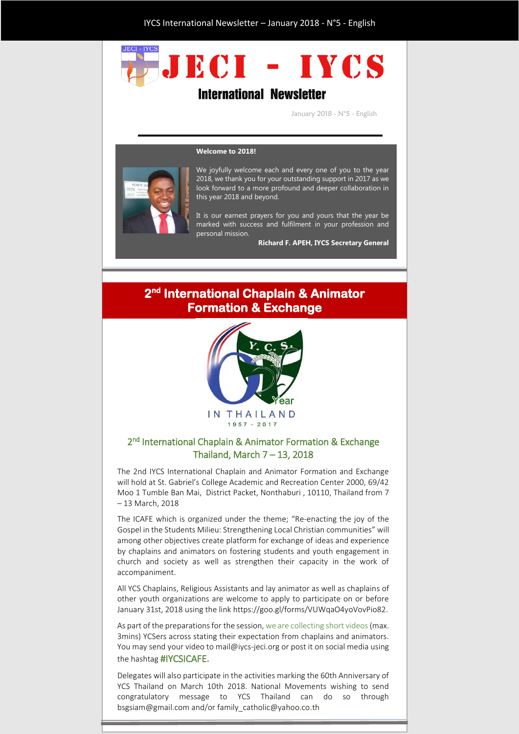# TECI - IYOS **International Newsletter**

January 2018 - N°5 - English

#### **Welcome to 2018!**



We joyfully welcome each and every one of you to the year 2018, we thank you for your outstanding support in 2017 as we look forward to a more profound and deeper collaboration in this year 2018 and beyond.

It is our earnest prayers for you and yours that the year be marked with success and fulfilment in your profession and personal mission.

**Richard F. APEH, IYCS Secretary General**

#### **2 nd International Chaplain & Animator Formation & Exchange**



#### 2<sup>nd</sup> International Chaplain & Animator Formation & Exchange Thailand, March 7 – 13, 2018

The 2nd IYCS International Chaplain and Animator Formation and Exchange will hold at St. Gabriel's College Academic and Recreation Center 2000, 69/42 Moo 1 Tumble Ban Mai, District Packet, Nonthaburi , 10110, Thailand from 7 – 13 March, 2018

The ICAFE which is organized under the theme; "Re-enacting the joy of the Gospel in the Students Milieu: Strengthening Local Christian communities" will among other objectives create platform for exchange of ideas and experience by chaplains and animators on fostering students and youth engagement in church and society as well as strengthen their capacity in the work of accompaniment.

All YCS Chaplains, Religious Assistants and lay animator as well as chaplains of other youth organizations are welcome to apply to participate on or before January 31st, 2018 using the link https://goo.gl/forms/VUWqaO4yoVovPio82.

As part of the preparations for the session, we are collecting short videos (max. 3mins) YCSers across stating their expectation from chaplains and animators. You may send your video to mail@iycs-jeci.org or post it on social media using the hashtag #IYCSICAFE.

Delegates will also participate in the activities marking the 60th Anniversary of YCS Thailand on March 10th 2018. National Movements wishing to send congratulatory message to YCS Thailand can do so through bsgsiam@gmail.com and/or family\_catholic@yahoo.co.th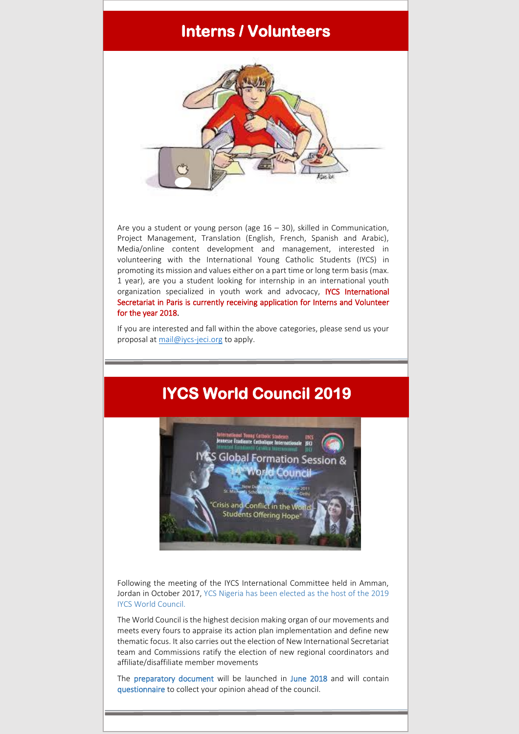#### **Interns / Volunteers**

Ï



Are you a student or young person (age 16 – 30), skilled in Communication, Project Management, Translation (English, French, Spanish and Arabic), Media/online content development and management, interested in volunteering with the International Young Catholic Students (IYCS) in promoting its mission and values either on a part time or long term basis (max. 1 year), are you a student looking for internship in an international youth organization specialized in youth work and advocacy, IYCS International Secretariat in Paris is currently receiving application for Interns and Volunteer for the year 2018.

If you are interested and fall within the above categories, please send us your proposal at [mail@iycs-jeci.org](mailto:mail@iycs-jeci.org) to apply.

### **IYCS World Council 2019**



Following the meeting of the IYCS International Committee held in Amman, Jordan in October 2017, YCS Nigeria has been elected as the host of the 2019 IYCS World Council.

The World Council is the highest decision making organ of our movements and meets every fours to appraise its action plan implementation and define new thematic focus. It also carries out the election of New International Secretariat team and Commissions ratify the election of new regional coordinators and affiliate/disaffiliate member movements

The preparatory document will be launched in June 2018 and will contain questionnaire to collect your opinion ahead of the council.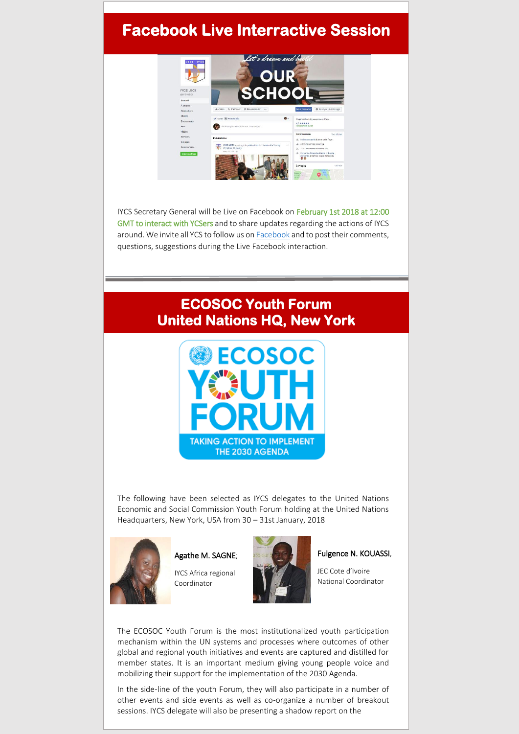## **Facebook Live Interractive Session**



IYCS Secretary General will be Live on Facebook on February 1st 2018 at 12:00 GMT to interact with YCSers and to share updates regarding the actions of IYCS around. We invite all YCS to follow us o[n Facebook](https://www.facebook.com/IYCSJECI/) and to post their comments, questions, suggestions during the Live Facebook interaction.

### **ECOSOC Youth Forum United Nations HQ, New York**



The following have been selected as IYCS delegates to the United Nations Economic and Social Commission Youth Forum holding at the United Nations Headquarters, New York, USA from 30 – 31st January, 2018



Agathe M. SAGNE; IYCS Africa regional

Coordinator



#### Fulgence N. KOUASSI,

JEC Cote d'Ivoire National Coordinator

The ECOSOC Youth Forum is the most institutionalized youth participation mechanism within the UN systems and processes where outcomes of other global and regional youth initiatives and events are captured and distilled for member states. It is an important medium giving young people voice and mobilizing their support for the implementation of the 2030 Agenda.

In the side-line of the youth Forum, they will also participate in a number of other events and side events as well as co-organize a number of breakout sessions. IYCS delegate will also be presenting a shadow report on the